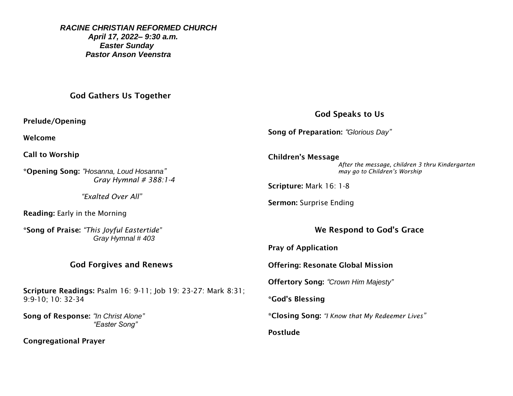*RACINE CHRISTIAN REFORMED CHURCH April 17, 2022– 9:30 a.m. Easter Sunday Pastor Anson Veenstra*

God Gathers Us Together

Prelude/Opening

Welcome

Call to Worship

\*Opening Song: *"Hosanna, Loud Hosanna" Gray Hymnal # 388:1-4*

 *"Exalted Over All"*

Reading: Early in the Morning

\*Song of Praise: *"This Joyful Eastertide" Gray Hymnal # 403*

## God Forgives and Renews

Scripture Readings: Psalm 16: 9-11; Job 19: 23-27: Mark 8:31; 9:9-10; 10: 32-34

Song of Response: *"In Christ Alone" "Easter Song"*

Congregational Prayer

God Speaks to Us

Song of Preparation: *"Glorious Day"*

Children's Message *After the message, children 3 thru Kindergarten may go to Children's Worship* 

Scripture: Mark 16: 1-8

Sermon: Surprise Ending

We Respond to God's Grace

Pray of Application

Offering: Resonate Global Mission

Offertory Song: *"Crown Him Majesty"*

\*God's Blessing

\*Closing Song: *"I Know that My Redeemer Lives"*

Postlude